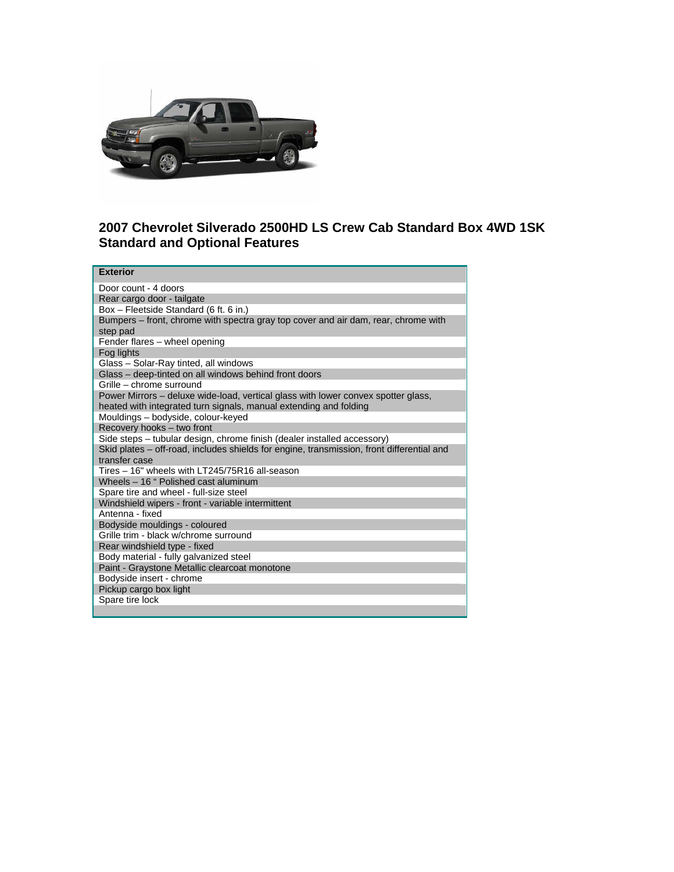

## **2007 Chevrolet Silverado 2500HD LS Crew Cab Standard Box 4WD 1SK Standard and Optional Features**

| <b>Exterior</b>                                                                                                                                        |
|--------------------------------------------------------------------------------------------------------------------------------------------------------|
| Door count - 4 doors                                                                                                                                   |
| Rear cargo door - tailgate                                                                                                                             |
| Box - Fleetside Standard (6 ft. 6 in.)                                                                                                                 |
| Bumpers - front, chrome with spectra gray top cover and air dam, rear, chrome with<br>step pad                                                         |
| Fender flares - wheel opening                                                                                                                          |
| Fog lights                                                                                                                                             |
| Glass - Solar-Ray tinted, all windows                                                                                                                  |
| Glass - deep-tinted on all windows behind front doors                                                                                                  |
| Grille – chrome surround                                                                                                                               |
| Power Mirrors - deluxe wide-load, vertical glass with lower convex spotter glass,<br>heated with integrated turn signals, manual extending and folding |
| Mouldings - bodyside, colour-keyed                                                                                                                     |
| Recovery hooks - two front                                                                                                                             |
| Side steps - tubular design, chrome finish (dealer installed accessory)                                                                                |
| Skid plates - off-road, includes shields for engine, transmission, front differential and<br>transfer case                                             |
| Tires - 16" wheels with LT245/75R16 all-season                                                                                                         |
| Wheels - 16 " Polished cast aluminum                                                                                                                   |
| Spare tire and wheel - full-size steel                                                                                                                 |
| Windshield wipers - front - variable intermittent                                                                                                      |
| Antenna - fixed                                                                                                                                        |
| Bodyside mouldings - coloured                                                                                                                          |
| Grille trim - black w/chrome surround                                                                                                                  |
| Rear windshield type - fixed                                                                                                                           |
| Body material - fully galvanized steel                                                                                                                 |
| Paint - Graystone Metallic clearcoat monotone                                                                                                          |
| Bodyside insert - chrome                                                                                                                               |
| Pickup cargo box light                                                                                                                                 |
| Spare tire lock                                                                                                                                        |
|                                                                                                                                                        |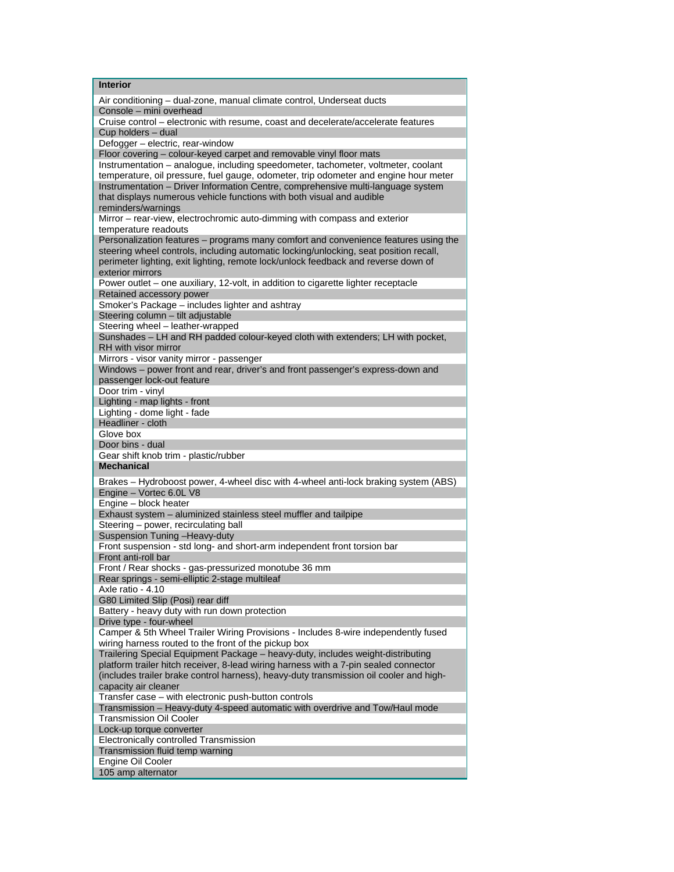| <b>Interior</b>                                                                                                                                          |
|----------------------------------------------------------------------------------------------------------------------------------------------------------|
| Air conditioning - dual-zone, manual climate control, Underseat ducts                                                                                    |
| Console - mini overhead                                                                                                                                  |
| Cruise control - electronic with resume, coast and decelerate/accelerate features                                                                        |
| Cup holders - dual                                                                                                                                       |
| Defogger - electric, rear-window                                                                                                                         |
| Floor covering - colour-keyed carpet and removable vinyl floor mats<br>Instrumentation - analogue, including speedometer, tachometer, voltmeter, coolant |
| temperature, oil pressure, fuel gauge, odometer, trip odometer and engine hour meter                                                                     |
| Instrumentation - Driver Information Centre, comprehensive multi-language system                                                                         |
| that displays numerous vehicle functions with both visual and audible                                                                                    |
| reminders/warnings                                                                                                                                       |
| Mirror - rear-view, electrochromic auto-dimming with compass and exterior                                                                                |
| temperature readouts                                                                                                                                     |
| Personalization features - programs many comfort and convenience features using the                                                                      |
| steering wheel controls, including automatic locking/unlocking, seat position recall,                                                                    |
| perimeter lighting, exit lighting, remote lock/unlock feedback and reverse down of                                                                       |
| exterior mirrors                                                                                                                                         |
| Power outlet - one auxiliary, 12-volt, in addition to cigarette lighter receptacle<br>Retained accessory power                                           |
| Smoker's Package - includes lighter and ashtray                                                                                                          |
| Steering column - tilt adjustable                                                                                                                        |
| Steering wheel - leather-wrapped                                                                                                                         |
| Sunshades - LH and RH padded colour-keyed cloth with extenders; LH with pocket,                                                                          |
| RH with visor mirror                                                                                                                                     |
| Mirrors - visor vanity mirror - passenger                                                                                                                |
| Windows - power front and rear, driver's and front passenger's express-down and                                                                          |
| passenger lock-out feature                                                                                                                               |
| Door trim - vinyl                                                                                                                                        |
| Lighting - map lights - front                                                                                                                            |
| Lighting - dome light - fade<br>Headliner - cloth                                                                                                        |
| Glove box                                                                                                                                                |
| Door bins - dual                                                                                                                                         |
| Gear shift knob trim - plastic/rubber                                                                                                                    |
| <b>Mechanical</b>                                                                                                                                        |
| Brakes - Hydroboost power, 4-wheel disc with 4-wheel anti-lock braking system (ABS)                                                                      |
| Engine - Vortec 6.0L V8                                                                                                                                  |
| Engine - block heater                                                                                                                                    |
| Exhaust system - aluminized stainless steel muffler and tailpipe                                                                                         |
| Steering - power, recirculating ball                                                                                                                     |
| Suspension Tuning - Heavy-duty                                                                                                                           |
| Front suspension - std long- and short-arm independent front torsion bar<br>Front anti-roll bar                                                          |
| Front / Rear shocks - gas-pressurized monotube 36 mm                                                                                                     |
| Rear springs - semi-elliptic 2-stage multileaf                                                                                                           |
| Axle ratio - 4.10                                                                                                                                        |
| G80 Limited Slip (Posi) rear diff                                                                                                                        |
| Battery - heavy duty with run down protection                                                                                                            |
| Drive type - four-wheel                                                                                                                                  |
| Camper & 5th Wheel Trailer Wiring Provisions - Includes 8-wire independently fused                                                                       |
|                                                                                                                                                          |
| wiring harness routed to the front of the pickup box                                                                                                     |
| Trailering Special Equipment Package - heavy-duty, includes weight-distributing                                                                          |
| platform trailer hitch receiver, 8-lead wiring harness with a 7-pin sealed connector                                                                     |
| (includes trailer brake control harness), heavy-duty transmission oil cooler and high-                                                                   |
| capacity air cleaner                                                                                                                                     |
| Transfer case - with electronic push-button controls                                                                                                     |
| Transmission - Heavy-duty 4-speed automatic with overdrive and Tow/Haul mode<br>Transmission Oil Cooler                                                  |
| Lock-up torque converter                                                                                                                                 |
| <b>Electronically controlled Transmission</b>                                                                                                            |
| Transmission fluid temp warning                                                                                                                          |
| Engine Oil Cooler<br>105 amp alternator                                                                                                                  |